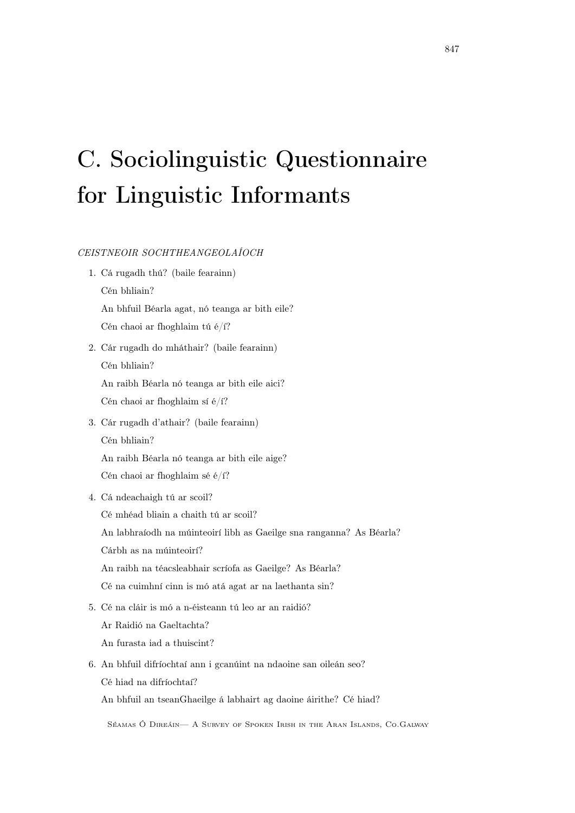## C. Sociolinguistic Questionnaire for Linguistic Informants

## CEISTNEOIR SOCHTHEANGEOLAÍOCH

- 1. Cá rugadh thú? (baile fearainn) Cén bhliain? An bhfuil Béarla agat, nó teanga ar bith eile? Cén chaoi ar fhoghlaim tú é/í?
- 2. Cár rugadh do mháthair? (baile fearainn) Cén bhliain?

An raibh Béarla nó teanga ar bith eile aici?

Cén chaoi ar fhoghlaim sí é/í?

- 3. Cár rugadh d'athair? (baile fearainn) Cén bhliain? An raibh Béarla nó teanga ar bith eile aige? Cén chaoi ar fhoghlaim sé é/í?
- 4. Cá ndeachaigh tú ar scoil?

Cé mhéad bliain a chaith tú ar scoil? An labhraíodh na múinteoirí libh as Gaeilge sna ranganna? As Béarla? Cárbh as na múinteoirí? An raibh na téacsleabhair scríofa as Gaeilge? As Béarla? Cé na cuimhní cinn is mó atá agat ar na laethanta sin?

5. Cé na cláir is mó a n-éisteann tú leo ar an raidió?

Ar Raidió na Gaeltachta?

An furasta iad a thuiscint?

6. An bhfuil difríochtaí ann i gcanúint na ndaoine san oileán seo? Cé hiad na difríochtaí?

An bhfuil an tseanGhaeilge á labhairt ag daoine áirithe? Cé hiad?

Séamas Ó Direáin— A Survey of Spoken Irish in the Aran Islands, Co.Galway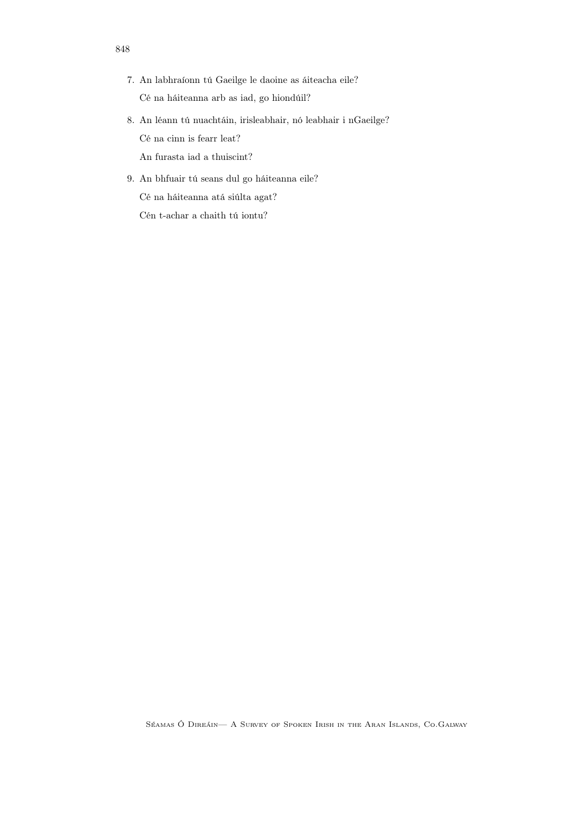- 7. An labhraíonn tú Gaeilge le daoine as áiteacha eile? Cé na háiteanna arb as iad, go hiondúil?
- 8. An léann tú nuachtáin, irisleabhair, nó leabhair i nGaeilge? Cé na cinn is fearr leat? An furasta iad a thuiscint?
- 9. An bhfuair tú seans dul go háiteanna eile? Cé na háiteanna atá siúlta agat? Cén t-achar a chaith tú iontu?

848